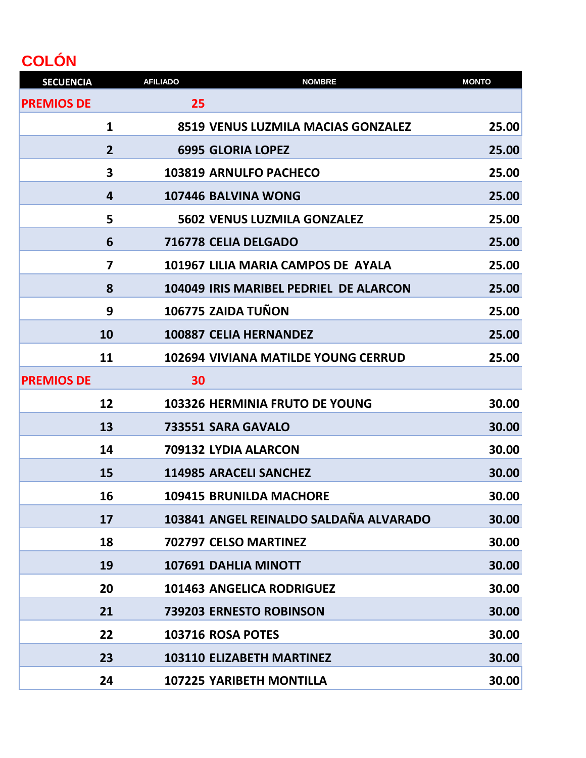## **COLÓN**

| <b>SECUENCIA</b>  |                | <b>AFILIADO</b> | <b>NOMBRE</b>                                 | <b>MONTO</b> |
|-------------------|----------------|-----------------|-----------------------------------------------|--------------|
| <b>PREMIOS DE</b> |                | 25              |                                               |              |
|                   | 1              |                 | <b>8519 VENUS LUZMILA MACIAS GONZALEZ</b>     | 25.00        |
|                   | $\overline{2}$ |                 | <b>6995 GLORIA LOPEZ</b>                      | 25.00        |
|                   | 3              |                 | <b>103819 ARNULFO PACHECO</b>                 | 25.00        |
|                   | 4              |                 | 107446 BALVINA WONG                           | 25.00        |
|                   | 5              |                 | <b>5602 VENUS LUZMILA GONZALEZ</b>            | 25.00        |
|                   | 6              |                 | 716778 CELIA DELGADO                          | 25.00        |
|                   | 7              |                 | 101967 LILIA MARIA CAMPOS DE AYALA            | 25.00        |
|                   | 8              |                 | <b>104049 IRIS MARIBEL PEDRIEL DE ALARCON</b> | 25.00        |
|                   | 9              |                 | 106775 ZAIDA TUÑON                            | 25.00        |
|                   | 10             |                 | <b>100887 CELIA HERNANDEZ</b>                 | 25.00        |
|                   | 11             |                 | 102694 VIVIANA MATILDE YOUNG CERRUD           | 25.00        |
| <b>PREMIOS DE</b> |                | 30              |                                               |              |
|                   | 12             |                 | 103326 HERMINIA FRUTO DE YOUNG                | 30.00        |
|                   | 13             |                 | 733551 SARA GAVALO                            | 30.00        |
|                   | 14             |                 | 709132 LYDIA ALARCON                          | 30.00        |
|                   | 15             |                 | <b>114985 ARACELI SANCHEZ</b>                 | 30.00        |
|                   | 16             |                 | <b>109415 BRUNILDA MACHORE</b>                | 30.00        |
|                   | 17             |                 | 103841 ANGEL REINALDO SALDAÑA ALVARADO        | 30.00        |
|                   | 18             |                 | 702797 CELSO MARTINEZ                         | 30.00        |
|                   | 19             |                 | <b>107691 DAHLIA MINOTT</b>                   | 30.00        |
|                   | 20             |                 | <b>101463 ANGELICA RODRIGUEZ</b>              | 30.00        |
|                   | 21             |                 | 739203 ERNESTO ROBINSON                       | 30.00        |
|                   | 22             |                 | 103716 ROSA POTES                             | 30.00        |
|                   | 23             |                 | <b>103110 ELIZABETH MARTINEZ</b>              | 30.00        |
|                   | 24             |                 | <b>107225 YARIBETH MONTILLA</b>               | 30.00        |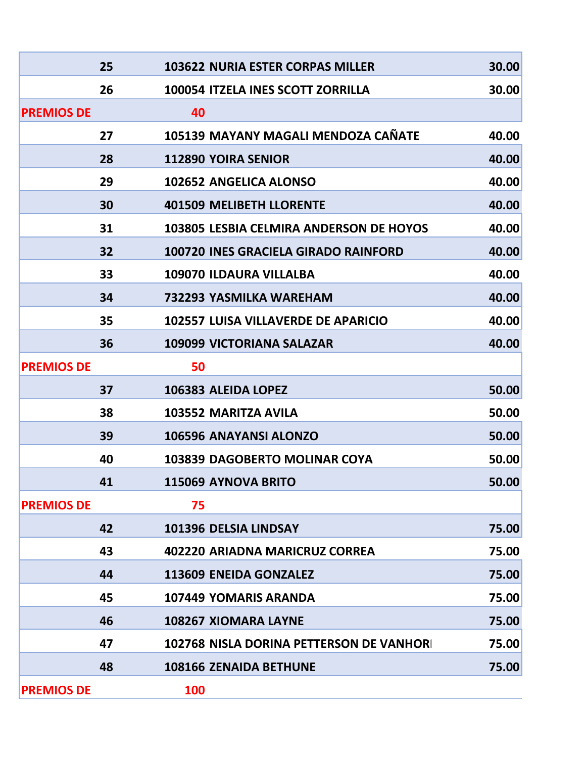|                   | 25 |            | <b>103622 NURIA ESTER CORPAS MILLER</b>        | 30.00 |
|-------------------|----|------------|------------------------------------------------|-------|
|                   | 26 |            | 100054 ITZELA INES SCOTT ZORRILLA              | 30.00 |
| <b>PREMIOS DE</b> |    | 40         |                                                |       |
|                   | 27 |            | 105139 MAYANY MAGALI MENDOZA CAÑATE            | 40.00 |
|                   | 28 |            | <b>112890 YOIRA SENIOR</b>                     | 40.00 |
|                   | 29 |            | 102652 ANGELICA ALONSO                         | 40.00 |
|                   | 30 |            | <b>401509 MELIBETH LLORENTE</b>                | 40.00 |
|                   | 31 |            | <b>103805 LESBIA CELMIRA ANDERSON DE HOYOS</b> | 40.00 |
|                   | 32 |            | <b>100720 INES GRACIELA GIRADO RAINFORD</b>    | 40.00 |
|                   | 33 |            | 109070 ILDAURA VILLALBA                        | 40.00 |
|                   | 34 |            | 732293 YASMILKA WAREHAM                        | 40.00 |
|                   | 35 |            | <b>102557 LUISA VILLAVERDE DE APARICIO</b>     | 40.00 |
|                   | 36 |            | <b>109099 VICTORIANA SALAZAR</b>               | 40.00 |
| <b>PREMIOS DE</b> |    | 50         |                                                |       |
|                   | 37 |            | 106383 ALEIDA LOPEZ                            | 50.00 |
|                   | 38 |            | 103552 MARITZA AVILA                           | 50.00 |
|                   | 39 |            | <b>106596 ANAYANSI ALONZO</b>                  | 50.00 |
|                   | 40 |            | <b>103839 DAGOBERTO MOLINAR COYA</b>           | 50.00 |
|                   | 41 |            | 115069 AYNOVA BRITO                            | 50.00 |
| <b>PREMIOS DE</b> |    | 75         |                                                |       |
|                   | 42 |            | 101396 DELSIA LINDSAY                          | 75.00 |
|                   | 43 |            | 402220 ARIADNA MARICRUZ CORREA                 | 75.00 |
|                   | 44 |            | 113609 ENEIDA GONZALEZ                         | 75.00 |
|                   | 45 |            | <b>107449 YOMARIS ARANDA</b>                   | 75.00 |
|                   | 46 |            | <b>108267 XIOMARA LAYNE</b>                    | 75.00 |
|                   | 47 |            | 102768 NISLA DORINA PETTERSON DE VANHORI       | 75.00 |
|                   | 48 |            | 108166 ZENAIDA BETHUNE                         | 75.00 |
| <b>PREMIOS DE</b> |    | <b>100</b> |                                                |       |